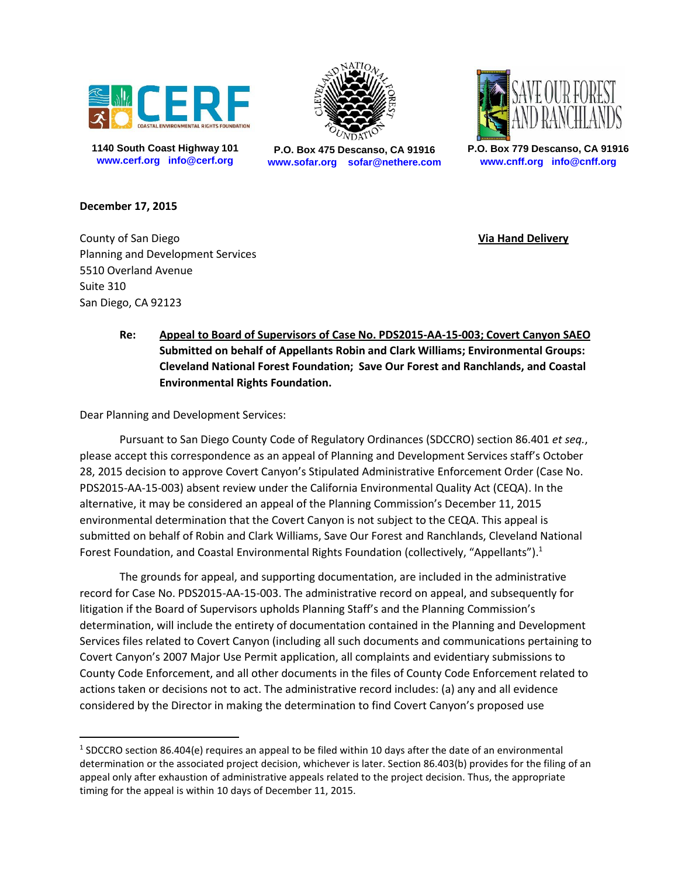

**1140 South Coast Highway 101 www.cerf.org info@cerf.org**



**P.O. Box 475 Descanso, CA 91916 www.sofar.org sofar@nethere.com**



**P.O. Box 779 Descanso, CA 91916 www.cnff.org info@cnff.org**

## **December 17, 2015**

 $\overline{a}$ 

County of San Diego **Via Hand Delivery** Planning and Development Services 5510 Overland Avenue Suite 310 San Diego, CA 92123

**Re: Appeal to Board of Supervisors of Case No. PDS2015-AA-15-003; Covert Canyon SAEO Submitted on behalf of Appellants Robin and Clark Williams; Environmental Groups: Cleveland National Forest Foundation; Save Our Forest and Ranchlands, and Coastal Environmental Rights Foundation.** 

Dear Planning and Development Services:

Pursuant to San Diego County Code of Regulatory Ordinances (SDCCRO) section 86.401 *et seq.*, please accept this correspondence as an appeal of Planning and Development Services staff's October 28, 2015 decision to approve Covert Canyon's Stipulated Administrative Enforcement Order (Case No. PDS2015-AA-15-003) absent review under the California Environmental Quality Act (CEQA). In the alternative, it may be considered an appeal of the Planning Commission's December 11, 2015 environmental determination that the Covert Canyon is not subject to the CEQA. This appeal is submitted on behalf of Robin and Clark Williams, Save Our Forest and Ranchlands, Cleveland National Forest Foundation, and Coastal Environmental Rights Foundation (collectively, "Appellants").<sup>1</sup>

The grounds for appeal, and supporting documentation, are included in the administrative record for Case No. PDS2015-AA-15-003. The administrative record on appeal, and subsequently for litigation if the Board of Supervisors upholds Planning Staff's and the Planning Commission's determination, will include the entirety of documentation contained in the Planning and Development Services files related to Covert Canyon (including all such documents and communications pertaining to Covert Canyon's 2007 Major Use Permit application, all complaints and evidentiary submissions to County Code Enforcement, and all other documents in the files of County Code Enforcement related to actions taken or decisions not to act. The administrative record includes: (a) any and all evidence considered by the Director in making the determination to find Covert Canyon's proposed use

<sup>&</sup>lt;sup>1</sup> SDCCRO section 86.404(e) requires an appeal to be filed within 10 days after the date of an environmental determination or the associated project decision, whichever is later. Section 86.403(b) provides for the filing of an appeal only after exhaustion of administrative appeals related to the project decision. Thus, the appropriate timing for the appeal is within 10 days of December 11, 2015.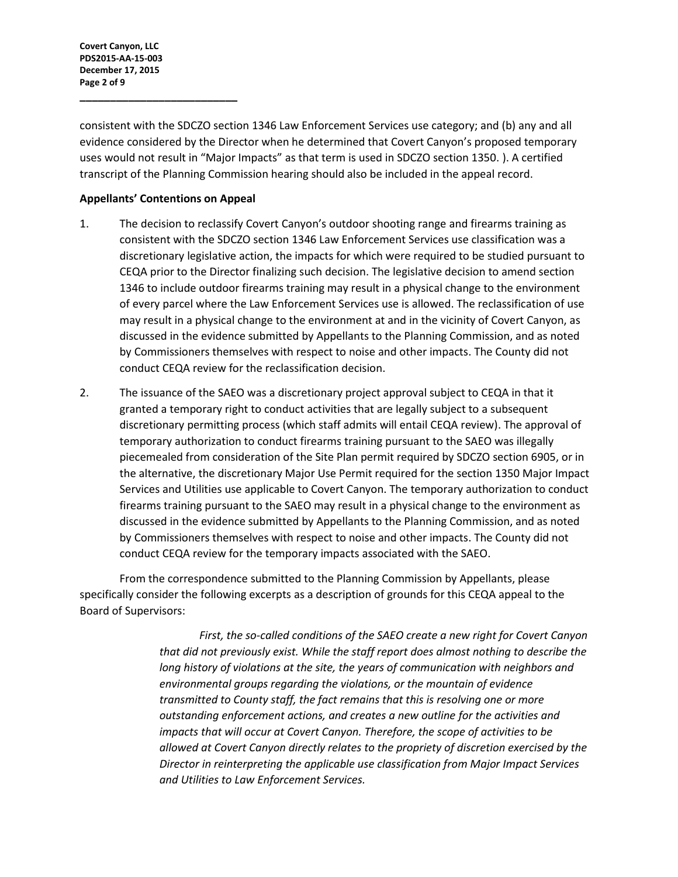**Covert Canyon, LLC PDS2015-AA-15-003 December 17, 2015 Page 2 of 9**

consistent with the SDCZO section 1346 Law Enforcement Services use category; and (b) any and all evidence considered by the Director when he determined that Covert Canyon's proposed temporary uses would not result in "Major Impacts" as that term is used in SDCZO section 1350. ). A certified transcript of the Planning Commission hearing should also be included in the appeal record.

## **Appellants' Contentions on Appeal**

**\_\_\_\_\_\_\_\_\_\_\_\_\_\_\_\_\_\_\_\_\_\_\_\_\_\_**

- 1. The decision to reclassify Covert Canyon's outdoor shooting range and firearms training as consistent with the SDCZO section 1346 Law Enforcement Services use classification was a discretionary legislative action, the impacts for which were required to be studied pursuant to CEQA prior to the Director finalizing such decision. The legislative decision to amend section 1346 to include outdoor firearms training may result in a physical change to the environment of every parcel where the Law Enforcement Services use is allowed. The reclassification of use may result in a physical change to the environment at and in the vicinity of Covert Canyon, as discussed in the evidence submitted by Appellants to the Planning Commission, and as noted by Commissioners themselves with respect to noise and other impacts. The County did not conduct CEQA review for the reclassification decision.
- 2. The issuance of the SAEO was a discretionary project approval subject to CEQA in that it granted a temporary right to conduct activities that are legally subject to a subsequent discretionary permitting process (which staff admits will entail CEQA review). The approval of temporary authorization to conduct firearms training pursuant to the SAEO was illegally piecemealed from consideration of the Site Plan permit required by SDCZO section 6905, or in the alternative, the discretionary Major Use Permit required for the section 1350 Major Impact Services and Utilities use applicable to Covert Canyon. The temporary authorization to conduct firearms training pursuant to the SAEO may result in a physical change to the environment as discussed in the evidence submitted by Appellants to the Planning Commission, and as noted by Commissioners themselves with respect to noise and other impacts. The County did not conduct CEQA review for the temporary impacts associated with the SAEO.

From the correspondence submitted to the Planning Commission by Appellants, please specifically consider the following excerpts as a description of grounds for this CEQA appeal to the Board of Supervisors:

> *First, the so-called conditions of the SAEO create a new right for Covert Canyon that did not previously exist. While the staff report does almost nothing to describe the long history of violations at the site, the years of communication with neighbors and environmental groups regarding the violations, or the mountain of evidence transmitted to County staff, the fact remains that this is resolving one or more outstanding enforcement actions, and creates a new outline for the activities and impacts that will occur at Covert Canyon. Therefore, the scope of activities to be allowed at Covert Canyon directly relates to the propriety of discretion exercised by the Director in reinterpreting the applicable use classification from Major Impact Services and Utilities to Law Enforcement Services.*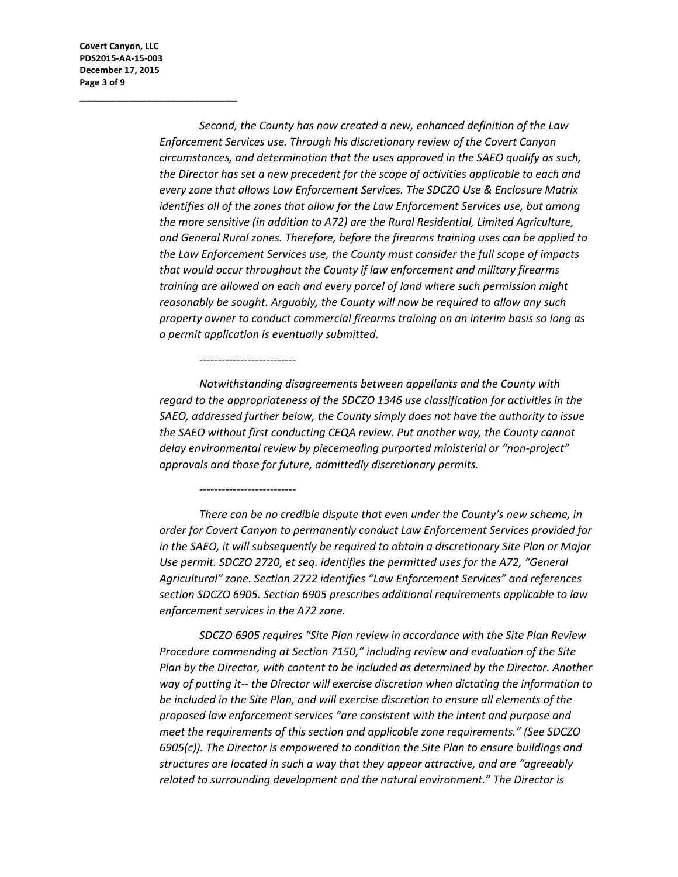**Covert Canyon, LLC PDS2015-AA-15-003 December 17, 2015 Page 3 of 9**

**\_\_\_\_\_\_\_\_\_\_\_\_\_\_\_\_\_\_\_\_\_\_\_\_\_\_**

*Second, the County has now created a new, enhanced definition of the Law Enforcement Services use. Through his discretionary review of the Covert Canyon circumstances, and determination that the uses approved in the SAEO qualify as such, the Director has set a new precedent for the scope of activities applicable to each and every zone that allows Law Enforcement Services. The SDCZO Use & Enclosure Matrix identifies all of the zones that allow for the Law Enforcement Services use, but among the more sensitive (in addition to A72) are the Rural Residential, Limited Agriculture, and General Rural zones. Therefore, before the firearms training uses can be applied to the Law Enforcement Services use, the County must consider the full scope of impacts that would occur throughout the County if law enforcement and military firearms training are allowed on each and every parcel of land where such permission might reasonably be sought. Arguably, the County will now be required to allow any such property owner to conduct commercial firearms training on an interim basis so long as a permit application is eventually submitted.*

*Notwithstanding disagreements between appellants and the County with regard to the appropriateness of the SDCZO 1346 use classification for activities in the SAEO, addressed further below, the County simply does not have the authority to issue the SAEO without first conducting CEQA review. Put another way, the County cannot delay environmental review by piecemealing purported ministerial or "non-project" approvals and those for future, admittedly discretionary permits.*

--------------------------

--------------------------

*There can be no credible dispute that even under the County's new scheme, in order for Covert Canyon to permanently conduct Law Enforcement Services provided for in the SAEO, it will subsequently be required to obtain a discretionary Site Plan or Major Use permit. SDCZO 2720, et seq. identifies the permitted uses for the A72, "General Agricultural" zone. Section 2722 identifies "Law Enforcement Services" and references section SDCZO 6905. Section 6905 prescribes additional requirements applicable to law enforcement services in the A72 zone.*

*SDCZO 6905 requires "Site Plan review in accordance with the Site Plan Review Procedure commending at Section 7150," including review and evaluation of the Site Plan by the Director, with content to be included as determined by the Director. Another way of putting it-- the Director will exercise discretion when dictating the information to be included in the Site Plan, and will exercise discretion to ensure all elements of the proposed law enforcement services "are consistent with the intent and purpose and meet the requirements of this section and applicable zone requirements." (See SDCZO 6905(c)). The Director is empowered to condition the Site Plan to ensure buildings and structures are located in such a way that they appear attractive, and are "agreeably related to surrounding development and the natural environment." The Director is*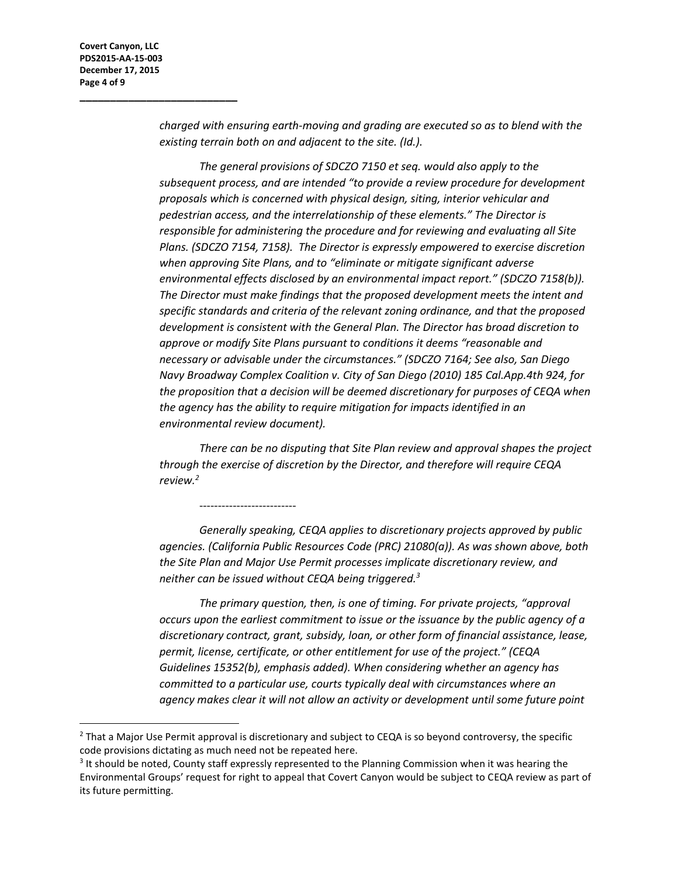l

**\_\_\_\_\_\_\_\_\_\_\_\_\_\_\_\_\_\_\_\_\_\_\_\_\_\_**

*charged with ensuring earth-moving and grading are executed so as to blend with the existing terrain both on and adjacent to the site. (Id.).*

*The general provisions of SDCZO 7150 et seq. would also apply to the subsequent process, and are intended "to provide a review procedure for development proposals which is concerned with physical design, siting, interior vehicular and pedestrian access, and the interrelationship of these elements." The Director is responsible for administering the procedure and for reviewing and evaluating all Site Plans. (SDCZO 7154, 7158). The Director is expressly empowered to exercise discretion when approving Site Plans, and to "eliminate or mitigate significant adverse environmental effects disclosed by an environmental impact report." (SDCZO 7158(b)). The Director must make findings that the proposed development meets the intent and specific standards and criteria of the relevant zoning ordinance, and that the proposed development is consistent with the General Plan. The Director has broad discretion to approve or modify Site Plans pursuant to conditions it deems "reasonable and necessary or advisable under the circumstances." (SDCZO 7164; See also, San Diego Navy Broadway Complex Coalition v. City of San Diego (2010) 185 Cal.App.4th 924, for the proposition that a decision will be deemed discretionary for purposes of CEQA when the agency has the ability to require mitigation for impacts identified in an environmental review document).* 

*There can be no disputing that Site Plan review and approval shapes the project through the exercise of discretion by the Director, and therefore will require CEQA review.<sup>2</sup>*

*Generally speaking, CEQA applies to discretionary projects approved by public agencies. (California Public Resources Code (PRC) 21080(a)). As was shown above, both the Site Plan and Major Use Permit processes implicate discretionary review, and neither can be issued without CEQA being triggered.<sup>3</sup>*

*The primary question, then, is one of timing. For private projects, "approval occurs upon the earliest commitment to issue or the issuance by the public agency of a discretionary contract, grant, subsidy, loan, or other form of financial assistance, lease, permit, license, certificate, or other entitlement for use of the project." (CEQA Guidelines 15352(b), emphasis added). When considering whether an agency has committed to a particular use, courts typically deal with circumstances where an agency makes clear it will not allow an activity or development until some future point* 

--------------------------

<sup>&</sup>lt;sup>2</sup> That a Major Use Permit approval is discretionary and subject to CEQA is so beyond controversy, the specific code provisions dictating as much need not be repeated here.

<sup>&</sup>lt;sup>3</sup> It should be noted, County staff expressly represented to the Planning Commission when it was hearing the Environmental Groups' request for right to appeal that Covert Canyon would be subject to CEQA review as part of its future permitting.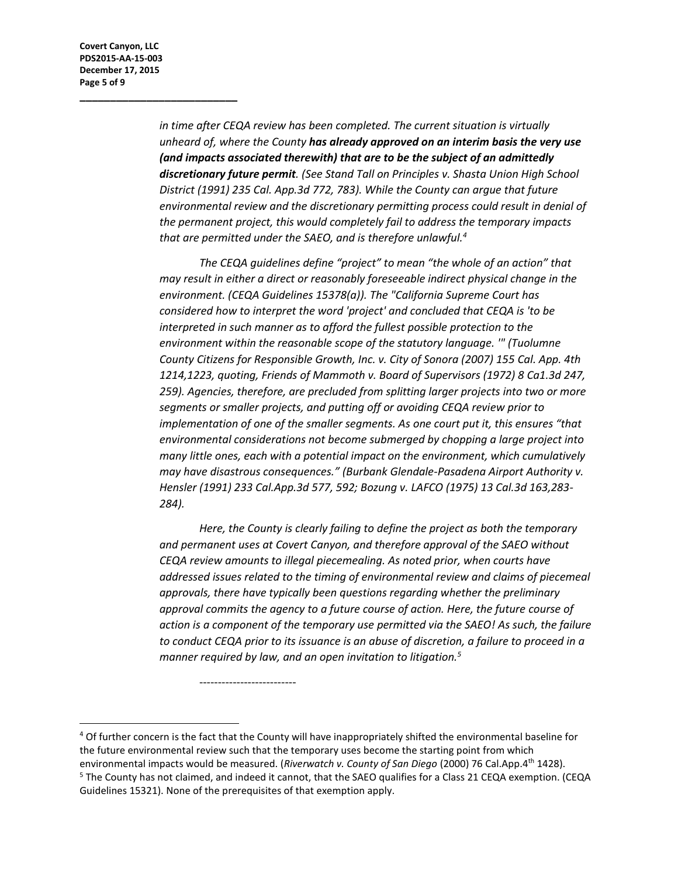**\_\_\_\_\_\_\_\_\_\_\_\_\_\_\_\_\_\_\_\_\_\_\_\_\_\_**

*in time after CEQA review has been completed. The current situation is virtually unheard of, where the County has already approved on an interim basis the very use (and impacts associated therewith) that are to be the subject of an admittedly discretionary future permit. (See Stand Tall on Principles v. Shasta Union High School District (1991) 235 Cal. App.3d 772, 783). While the County can argue that future environmental review and the discretionary permitting process could result in denial of the permanent project, this would completely fail to address the temporary impacts that are permitted under the SAEO, and is therefore unlawful.<sup>4</sup>*

*The CEQA guidelines define "project" to mean "the whole of an action" that may result in either a direct or reasonably foreseeable indirect physical change in the environment. (CEQA Guidelines 15378(a)). The "California Supreme Court has considered how to interpret the word 'project' and concluded that CEQA is 'to be interpreted in such manner as to afford the fullest possible protection to the environment within the reasonable scope of the statutory language. '" (Tuolumne County Citizens for Responsible Growth, Inc. v. City of Sonora (2007) 155 Cal. App. 4th 1214,1223, quoting, Friends of Mammoth v. Board of Supervisors (1972) 8 Ca1.3d 247, 259). Agencies, therefore, are precluded from splitting larger projects into two or more segments or smaller projects, and putting off or avoiding CEQA review prior to implementation of one of the smaller segments. As one court put it, this ensures "that environmental considerations not become submerged by chopping a large project into many little ones, each with a potential impact on the environment, which cumulatively may have disastrous consequences." (Burbank Glendale-Pasadena Airport Authority v. Hensler (1991) 233 Cal.App.3d 577, 592; Bozung v. LAFCO (1975) 13 Cal.3d 163,283- 284).* 

*Here, the County is clearly failing to define the project as both the temporary and permanent uses at Covert Canyon, and therefore approval of the SAEO without CEQA review amounts to illegal piecemealing. As noted prior, when courts have addressed issues related to the timing of environmental review and claims of piecemeal approvals, there have typically been questions regarding whether the preliminary approval commits the agency to a future course of action. Here, the future course of action is a component of the temporary use permitted via the SAEO! As such, the failure to conduct CEQA prior to its issuance is an abuse of discretion, a failure to proceed in a manner required by law, and an open invitation to litigation.<sup>5</sup>*

l <sup>4</sup> Of further concern is the fact that the County will have inappropriately shifted the environmental baseline for the future environmental review such that the temporary uses become the starting point from which environmental impacts would be measured. (*Riverwatch v. County of San Diego* (2000) 76 Cal.App.4th 1428). <sup>5</sup> The County has not claimed, and indeed it cannot, that the SAEO qualifies for a Class 21 CEQA exemption. (CEQA Guidelines 15321). None of the prerequisites of that exemption apply.

--------------------------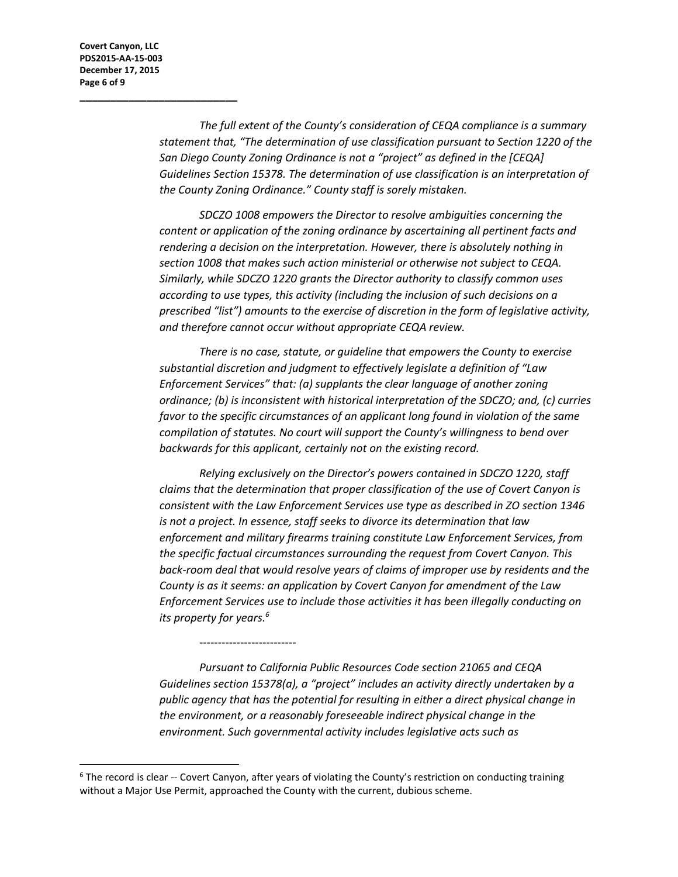**Covert Canyon, LLC PDS2015-AA-15-003 December 17, 2015 Page 6 of 9**

l

**\_\_\_\_\_\_\_\_\_\_\_\_\_\_\_\_\_\_\_\_\_\_\_\_\_\_**

*The full extent of the County's consideration of CEQA compliance is a summary statement that, "The determination of use classification pursuant to Section 1220 of the San Diego County Zoning Ordinance is not a "project" as defined in the [CEQA] Guidelines Section 15378. The determination of use classification is an interpretation of the County Zoning Ordinance." County staff is sorely mistaken.* 

*SDCZO 1008 empowers the Director to resolve ambiguities concerning the content or application of the zoning ordinance by ascertaining all pertinent facts and rendering a decision on the interpretation. However, there is absolutely nothing in section 1008 that makes such action ministerial or otherwise not subject to CEQA. Similarly, while SDCZO 1220 grants the Director authority to classify common uses according to use types, this activity (including the inclusion of such decisions on a prescribed "list") amounts to the exercise of discretion in the form of legislative activity, and therefore cannot occur without appropriate CEQA review.*

*There is no case, statute, or guideline that empowers the County to exercise substantial discretion and judgment to effectively legislate a definition of "Law Enforcement Services" that: (a) supplants the clear language of another zoning ordinance; (b) is inconsistent with historical interpretation of the SDCZO; and, (c) curries favor to the specific circumstances of an applicant long found in violation of the same compilation of statutes. No court will support the County's willingness to bend over backwards for this applicant, certainly not on the existing record.*

*Relying exclusively on the Director's powers contained in SDCZO 1220, staff claims that the determination that proper classification of the use of Covert Canyon is consistent with the Law Enforcement Services use type as described in ZO section 1346 is not a project. In essence, staff seeks to divorce its determination that law enforcement and military firearms training constitute Law Enforcement Services, from the specific factual circumstances surrounding the request from Covert Canyon. This back-room deal that would resolve years of claims of improper use by residents and the County is as it seems: an application by Covert Canyon for amendment of the Law Enforcement Services use to include those activities it has been illegally conducting on its property for years.<sup>6</sup>*

*Pursuant to California Public Resources Code section 21065 and CEQA Guidelines section 15378(a), a "project" includes an activity directly undertaken by a public agency that has the potential for resulting in either a direct physical change in the environment, or a reasonably foreseeable indirect physical change in the environment. Such governmental activity includes legislative acts such as* 

--------------------------

 $6$  The record is clear -- Covert Canyon, after years of violating the County's restriction on conducting training without a Major Use Permit, approached the County with the current, dubious scheme.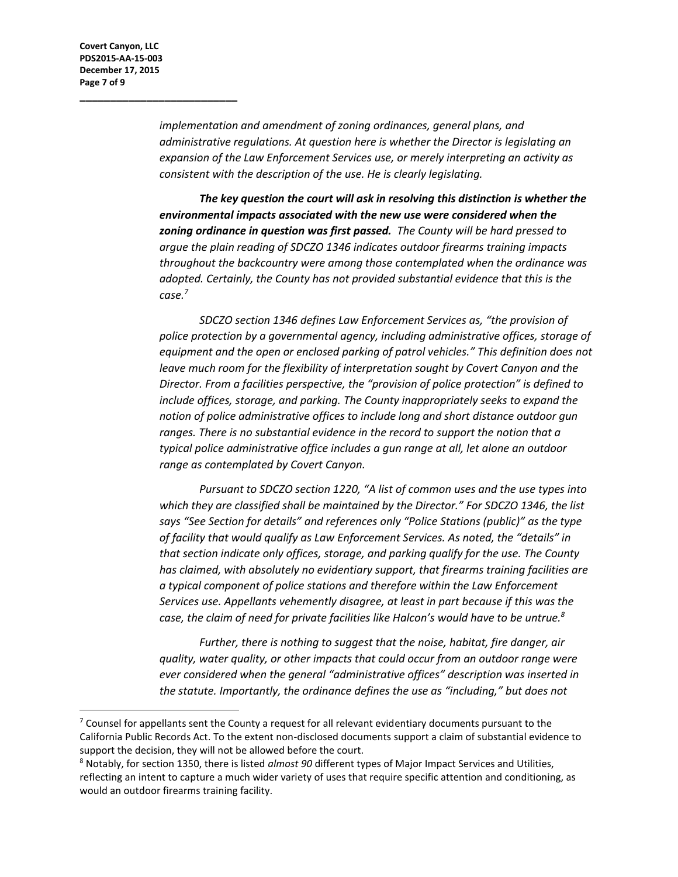$\overline{a}$ 

**\_\_\_\_\_\_\_\_\_\_\_\_\_\_\_\_\_\_\_\_\_\_\_\_\_\_**

*implementation and amendment of zoning ordinances, general plans, and administrative regulations. At question here is whether the Director is legislating an expansion of the Law Enforcement Services use, or merely interpreting an activity as consistent with the description of the use. He is clearly legislating.*

*The key question the court will ask in resolving this distinction is whether the environmental impacts associated with the new use were considered when the zoning ordinance in question was first passed. The County will be hard pressed to argue the plain reading of SDCZO 1346 indicates outdoor firearms training impacts throughout the backcountry were among those contemplated when the ordinance was adopted. Certainly, the County has not provided substantial evidence that this is the case.<sup>7</sup>*

*SDCZO section 1346 defines Law Enforcement Services as, "the provision of police protection by a governmental agency, including administrative offices, storage of equipment and the open or enclosed parking of patrol vehicles." This definition does not leave much room for the flexibility of interpretation sought by Covert Canyon and the Director. From a facilities perspective, the "provision of police protection" is defined to include offices, storage, and parking. The County inappropriately seeks to expand the notion of police administrative offices to include long and short distance outdoor gun ranges. There is no substantial evidence in the record to support the notion that a typical police administrative office includes a gun range at all, let alone an outdoor range as contemplated by Covert Canyon.* 

*Pursuant to SDCZO section 1220, "A list of common uses and the use types into which they are classified shall be maintained by the Director." For SDCZO 1346, the list says "See Section for details" and references only "Police Stations (public)" as the type of facility that would qualify as Law Enforcement Services. As noted, the "details" in that section indicate only offices, storage, and parking qualify for the use. The County has claimed, with absolutely no evidentiary support, that firearms training facilities are a typical component of police stations and therefore within the Law Enforcement Services use. Appellants vehemently disagree, at least in part because if this was the case, the claim of need for private facilities like Halcon's would have to be untrue.<sup>8</sup>*

*Further, there is nothing to suggest that the noise, habitat, fire danger, air quality, water quality, or other impacts that could occur from an outdoor range were ever considered when the general "administrative offices" description was inserted in the statute. Importantly, the ordinance defines the use as "including," but does not* 

 $7$  Counsel for appellants sent the County a request for all relevant evidentiary documents pursuant to the California Public Records Act. To the extent non-disclosed documents support a claim of substantial evidence to support the decision, they will not be allowed before the court.

<sup>8</sup> Notably, for section 1350, there is listed *almost 90* different types of Major Impact Services and Utilities, reflecting an intent to capture a much wider variety of uses that require specific attention and conditioning, as would an outdoor firearms training facility.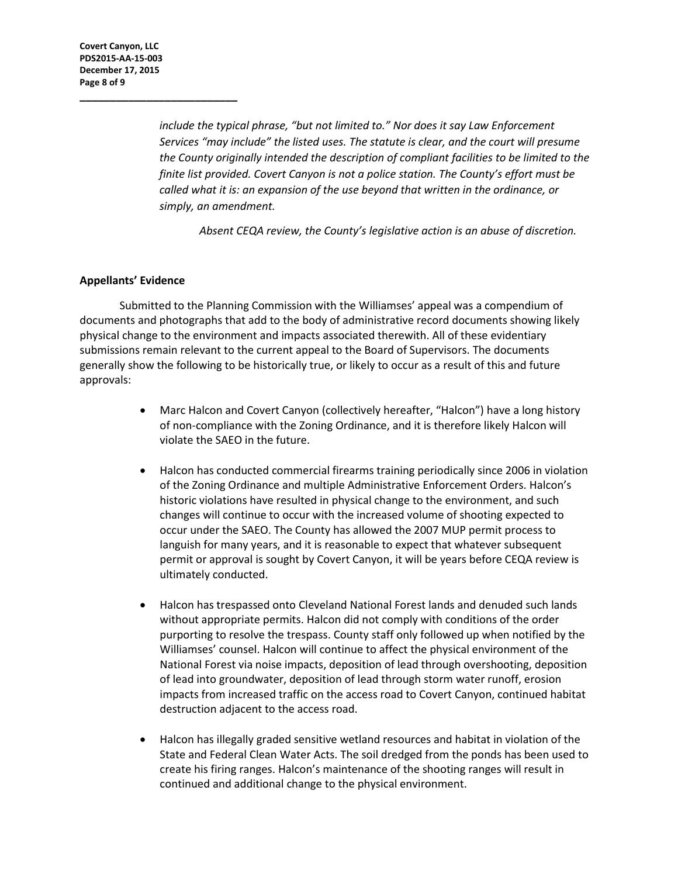**\_\_\_\_\_\_\_\_\_\_\_\_\_\_\_\_\_\_\_\_\_\_\_\_\_\_**

*include the typical phrase, "but not limited to." Nor does it say Law Enforcement Services "may include" the listed uses. The statute is clear, and the court will presume the County originally intended the description of compliant facilities to be limited to the finite list provided. Covert Canyon is not a police station. The County's effort must be called what it is: an expansion of the use beyond that written in the ordinance, or simply, an amendment.* 

*Absent CEQA review, the County's legislative action is an abuse of discretion.*

## **Appellants' Evidence**

Submitted to the Planning Commission with the Williamses' appeal was a compendium of documents and photographs that add to the body of administrative record documents showing likely physical change to the environment and impacts associated therewith. All of these evidentiary submissions remain relevant to the current appeal to the Board of Supervisors. The documents generally show the following to be historically true, or likely to occur as a result of this and future approvals:

- Marc Halcon and Covert Canyon (collectively hereafter, "Halcon") have a long history of non-compliance with the Zoning Ordinance, and it is therefore likely Halcon will violate the SAEO in the future.
- Halcon has conducted commercial firearms training periodically since 2006 in violation of the Zoning Ordinance and multiple Administrative Enforcement Orders. Halcon's historic violations have resulted in physical change to the environment, and such changes will continue to occur with the increased volume of shooting expected to occur under the SAEO. The County has allowed the 2007 MUP permit process to languish for many years, and it is reasonable to expect that whatever subsequent permit or approval is sought by Covert Canyon, it will be years before CEQA review is ultimately conducted.
- Halcon has trespassed onto Cleveland National Forest lands and denuded such lands without appropriate permits. Halcon did not comply with conditions of the order purporting to resolve the trespass. County staff only followed up when notified by the Williamses' counsel. Halcon will continue to affect the physical environment of the National Forest via noise impacts, deposition of lead through overshooting, deposition of lead into groundwater, deposition of lead through storm water runoff, erosion impacts from increased traffic on the access road to Covert Canyon, continued habitat destruction adjacent to the access road.
- Halcon has illegally graded sensitive wetland resources and habitat in violation of the State and Federal Clean Water Acts. The soil dredged from the ponds has been used to create his firing ranges. Halcon's maintenance of the shooting ranges will result in continued and additional change to the physical environment.